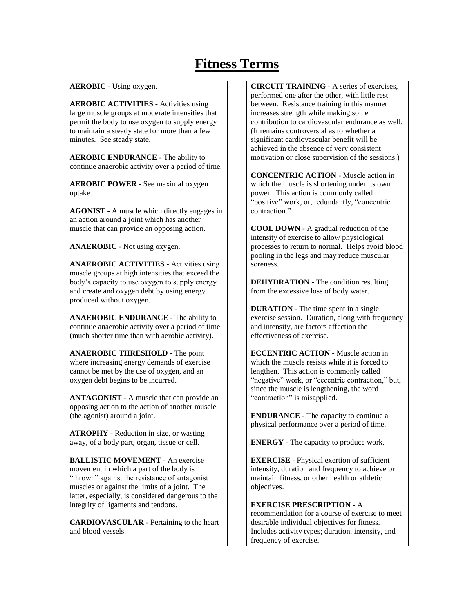## **Fitness Terms**

**AEROBIC** - Using oxygen.

**AEROBIC ACTIVITIES** - Activities using large muscle groups at moderate intensities that permit the body to use oxygen to supply energy to maintain a steady state for more than a few minutes. See steady state.

**AEROBIC ENDURANCE** - The ability to continue anaerobic activity over a period of time.

**AEROBIC POWER** - See maximal oxygen uptake.

**AGONIST** - A muscle which directly engages in an action around a joint which has another muscle that can provide an opposing action.

**ANAEROBIC** - Not using oxygen.

**ANAEROBIC ACTIVITIES** - Activities using muscle groups at high intensities that exceed the body's capacity to use oxygen to supply energy and create and oxygen debt by using energy produced without oxygen.

**ANAEROBIC ENDURANCE** - The ability to continue anaerobic activity over a period of time (much shorter time than with aerobic activity).

**ANAEROBIC THRESHOLD** - The point where increasing energy demands of exercise cannot be met by the use of oxygen, and an oxygen debt begins to be incurred.

**ANTAGONIST** - A muscle that can provide an opposing action to the action of another muscle (the agonist) around a joint.

**ATROPHY** - Reduction in size, or wasting away, of a body part, organ, tissue or cell.

**BALLISTIC MOVEMENT** - An exercise movement in which a part of the body is "thrown" against the resistance of antagonist muscles or against the limits of a joint. The latter, especially, is considered dangerous to the integrity of ligaments and tendons.

**CARDIOVASCULAR** - Pertaining to the heart and blood vessels.

**CIRCUIT TRAINING** - A series of exercises, performed one after the other, with little rest between. Resistance training in this manner increases strength while making some contribution to cardiovascular endurance as well. (It remains controversial as to whether a significant cardiovascular benefit will be achieved in the absence of very consistent motivation or close supervision of the sessions.)

**CONCENTRIC ACTION** - Muscle action in which the muscle is shortening under its own power. This action is commonly called "positive" work, or, redundantly, "concentric contraction."

**COOL DOWN** - A gradual reduction of the intensity of exercise to allow physiological processes to return to normal. Helps avoid blood pooling in the legs and may reduce muscular soreness.

**DEHYDRATION** - The condition resulting from the excessive loss of body water.

**DURATION** - The time spent in a single exercise session. Duration, along with frequency and intensity, are factors affection the effectiveness of exercise.

**ECCENTRIC ACTION** - Muscle action in which the muscle resists while it is forced to lengthen. This action is commonly called "negative" work, or "eccentric contraction," but, since the muscle is lengthening, the word "contraction" is misapplied.

**ENDURANCE** - The capacity to continue a physical performance over a period of time.

**ENERGY** - The capacity to produce work.

**EXERCISE** - Physical exertion of sufficient intensity, duration and frequency to achieve or maintain fitness, or other health or athletic objectives.

## **EXERCISE PRESCRIPTION** - A

recommendation for a course of exercise to meet desirable individual objectives for fitness. Includes activity types; duration, intensity, and frequency of exercise.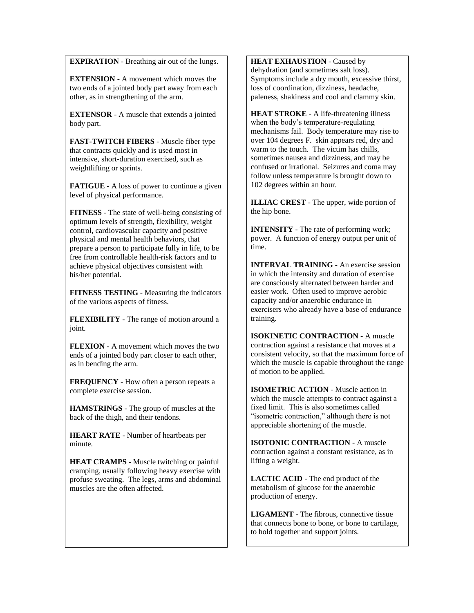**EXPIRATION** - Breathing air out of the lungs.

**EXTENSION** - A movement which moves the two ends of a jointed body part away from each other, as in strengthening of the arm.

**EXTENSOR** - A muscle that extends a jointed body part.

**FAST-TWITCH FIBERS** - Muscle fiber type that contracts quickly and is used most in intensive, short-duration exercised, such as weightlifting or sprints.

**FATIGUE** - A loss of power to continue a given level of physical performance.

**FITNESS** - The state of well-being consisting of optimum levels of strength, flexibility, weight control, cardiovascular capacity and positive physical and mental health behaviors, that prepare a person to participate fully in life, to be free from controllable health-risk factors and to achieve physical objectives consistent with his/her potential.

**FITNESS TESTING** - Measuring the indicators of the various aspects of fitness.

**FLEXIBILITY** - The range of motion around a joint.

**FLEXION** - A movement which moves the two ends of a jointed body part closer to each other, as in bending the arm.

**FREQUENCY** - How often a person repeats a complete exercise session.

**HAMSTRINGS** - The group of muscles at the back of the thigh, and their tendons.

**HEART RATE** - Number of heartbeats per minute.

**HEAT CRAMPS** - Muscle twitching or painful cramping, usually following heavy exercise with profuse sweating. The legs, arms and abdominal muscles are the often affected.

**HEAT EXHAUSTION** - Caused by dehydration (and sometimes salt loss). Symptoms include a dry mouth, excessive thirst, loss of coordination, dizziness, headache, paleness, shakiness and cool and clammy skin.

**HEAT STROKE** - A life-threatening illness when the body's temperature-regulating mechanisms fail. Body temperature may rise to over 104 degrees F. skin appears red, dry and warm to the touch. The victim has chills, sometimes nausea and dizziness, and may be confused or irrational. Seizures and coma may follow unless temperature is brought down to 102 degrees within an hour.

**ILLIAC CREST** - The upper, wide portion of the hip bone.

**INTENSITY** - The rate of performing work; power. A function of energy output per unit of time.

**INTERVAL TRAINING** - An exercise session in which the intensity and duration of exercise are consciously alternated between harder and easier work. Often used to improve aerobic capacity and/or anaerobic endurance in exercisers who already have a base of endurance training.

**ISOKINETIC CONTRACTION** - A muscle contraction against a resistance that moves at a consistent velocity, so that the maximum force of which the muscle is capable throughout the range of motion to be applied.

**ISOMETRIC ACTION** - Muscle action in which the muscle attempts to contract against a fixed limit. This is also sometimes called "isometric contraction," although there is not appreciable shortening of the muscle.

**ISOTONIC CONTRACTION** - A muscle contraction against a constant resistance, as in lifting a weight.

**LACTIC ACID** - The end product of the metabolism of glucose for the anaerobic production of energy.

**LIGAMENT** - The fibrous, connective tissue that connects bone to bone, or bone to cartilage, to hold together and support joints.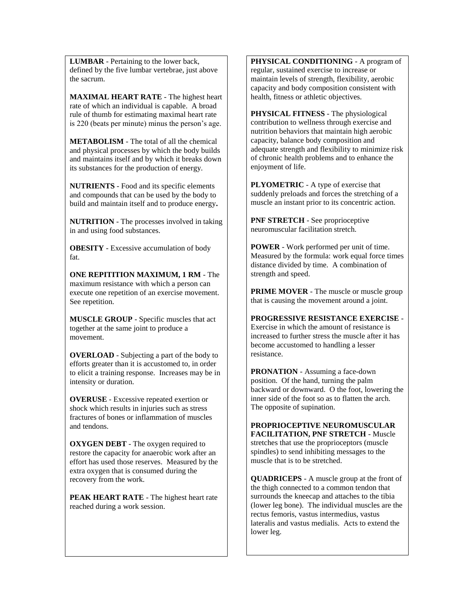**LUMBAR** - Pertaining to the lower back, defined by the five lumbar vertebrae, just above the sacrum.

**MAXIMAL HEART RATE** - The highest heart rate of which an individual is capable. A broad rule of thumb for estimating maximal heart rate is 220 (beats per minute) minus the person's age.

**METABOLISM** - The total of all the chemical and physical processes by which the body builds and maintains itself and by which it breaks down its substances for the production of energy.

**NUTRIENTS** - Food and its specific elements and compounds that can be used by the body to build and maintain itself and to produce energy**.**

**NUTRITION** - The processes involved in taking in and using food substances.

**OBESITY** - Excessive accumulation of body fat.

**ONE REPITITION MAXIMUM, 1 RM** - The maximum resistance with which a person can execute one repetition of an exercise movement. See repetition.

**MUSCLE GROUP** - Specific muscles that act together at the same joint to produce a movement.

**OVERLOAD** - Subjecting a part of the body to efforts greater than it is accustomed to, in order to elicit a training response. Increases may be in intensity or duration.

**OVERUSE** - Excessive repeated exertion or shock which results in injuries such as stress fractures of bones or inflammation of muscles and tendons.

**OXYGEN DEBT** - The oxygen required to restore the capacity for anaerobic work after an effort has used those reserves. Measured by the extra oxygen that is consumed during the recovery from the work.

**PEAK HEART RATE** - The highest heart rate reached during a work session.

**PHYSICAL CONDITIONING** - A program of regular, sustained exercise to increase or maintain levels of strength, flexibility, aerobic capacity and body composition consistent with health, fitness or athletic objectives.

**PHYSICAL FITNESS** - The physiological contribution to wellness through exercise and nutrition behaviors that maintain high aerobic capacity, balance body composition and adequate strength and flexibility to minimize risk of chronic health problems and to enhance the enjoyment of life.

**PLYOMETRIC** - A type of exercise that suddenly preloads and forces the stretching of a muscle an instant prior to its concentric action.

**PNF STRETCH** - See proprioceptive neuromuscular facilitation stretch.

**POWER** - Work performed per unit of time. Measured by the formula: work equal force times distance divided by time. A combination of strength and speed.

**PRIME MOVER** - The muscle or muscle group that is causing the movement around a joint.

**PROGRESSIVE RESISTANCE EXERCISE** -

Exercise in which the amount of resistance is increased to further stress the muscle after it has become accustomed to handling a lesser resistance.

**PRONATION** - Assuming a face-down position. Of the hand, turning the palm backward or downward. O the foot, lowering the inner side of the foot so as to flatten the arch. The opposite of supination.

**PROPRIOCEPTIVE NEUROMUSCULAR FACILITATION, PNF STRETCH** - Muscle stretches that use the proprioceptors (muscle spindles) to send inhibiting messages to the muscle that is to be stretched.

**QUADRICEPS** - A muscle group at the front of the thigh connected to a common tendon that surrounds the kneecap and attaches to the tibia (lower leg bone). The individual muscles are the rectus femoris, vastus intermedius, vastus lateralis and vastus medialis. Acts to extend the lower leg.